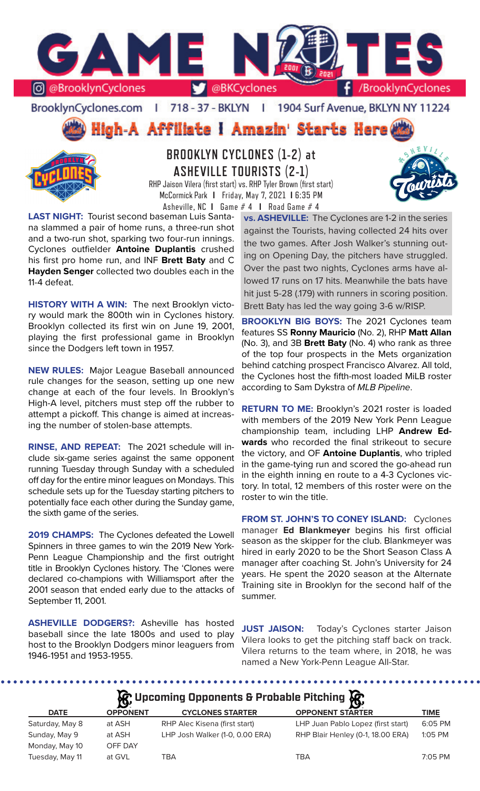

BrooklynCyclones.com | 718 - 37 - BKLYN | 1904 Surf Avenue, BKLYN NY 11224





**BROOKLYN CYCLONES (1-2) at ASHEVILLE TOURISTS (2-1)**

RHP Jaison Vilera (first start) vs. RHP Tyler Brown (first start) McCormick Park **I** Friday, May 7, 2021 **I** 6:35 PM Asheville, NC **I** Game # 4 **I** Road Game # 4

**LAST NIGHT:** Tourist second baseman Luis Santana slammed a pair of home runs, a three-run shot and a two-run shot, sparking two four-run innings. Cyclones outfielder **Antoine Duplantis** crushed his first pro home run, and INF **Brett Baty** and C **Hayden Senger** collected two doubles each in the 11-4 defeat.

**HISTORY WITH A WIN:** The next Brooklyn victory would mark the 800th win in Cyclones history. Brooklyn collected its first win on June 19, 2001, playing the first professional game in Brooklyn since the Dodgers left town in 1957.

**NEW RULES:** Major League Baseball announced rule changes for the season, setting up one new change at each of the four levels. In Brooklyn's High-A level, pitchers must step off the rubber to attempt a pickoff. This change is aimed at increasing the number of stolen-base attempts.

**RINSE, AND REPEAT:** The 2021 schedule will include six-game series against the same opponent running Tuesday through Sunday with a scheduled off day for the entire minor leagues on Mondays. This schedule sets up for the Tuesday starting pitchers to potentially face each other during the Sunday game, the sixth game of the series.

**2019 CHAMPS:** The Cyclones defeated the Lowell Spinners in three games to win the 2019 New York-Penn League Championship and the first outright title in Brooklyn Cyclones history. The 'Clones were declared co-champions with Williamsport after the 2001 season that ended early due to the attacks of September 11, 2001.

**ASHEVILLE DODGERS?:** Asheville has hosted baseball since the late 1800s and used to play host to the Brooklyn Dodgers minor leaguers from 1946-1951 and 1953-1955.

**vs. ASHEVILLE:** The Cyclones are 1-2 in the series against the Tourists, having collected 24 hits over the two games. After Josh Walker's stunning outing on Opening Day, the pitchers have struggled. Over the past two nights, Cyclones arms have allowed 17 runs on 17 hits. Meanwhile the bats have hit just 5-28 (.179) with runners in scoring position. Brett Baty has led the way going 3-6 w/RISP.

**BROOKLYN BIG BOYS:** The 2021 Cyclones team features SS **Ronny Mauricio** (No. 2), RHP **Matt Allan**  (No. 3), and 3B **Brett Baty** (No. 4) who rank as three of the top four prospects in the Mets organization behind catching prospect Francisco Alvarez. All told, the Cyclones host the fifth-most loaded MiLB roster according to Sam Dykstra of *MLB Pipeline*.

**RETURN TO ME:** Brooklyn's 2021 roster is loaded with members of the 2019 New York Penn League championship team, including LHP **Andrew Edwards** who recorded the final strikeout to secure the victory, and OF **Antoine Duplantis**, who tripled in the game-tying run and scored the go-ahead run in the eighth inning en route to a 4-3 Cyclones victory. In total, 12 members of this roster were on the roster to win the title.

**FROM ST. JOHN'S TO CONEY ISLAND:** Cyclones manager **Ed Blankmeyer** begins his first official season as the skipper for the club. Blankmeyer was hired in early 2020 to be the Short Season Class A manager after coaching St. John's University for 24 years. He spent the 2020 season at the Alternate Training site in Brooklyn for the second half of the summer.

**JUST JAISON:** Today's Cyclones starter Jaison Vilera looks to get the pitching staff back on track. Vilera returns to the team where, in 2018, he was named a New York-Penn League All-Star.

| $\mathcal{R}$ , Upcoming Opponents & Probable Pitching $\mathcal{R}$ |                 |                                 |                                    |             |  |  |  |  |
|----------------------------------------------------------------------|-----------------|---------------------------------|------------------------------------|-------------|--|--|--|--|
| <b>DATE</b>                                                          | <b>OPPONENT</b> | <b>CYCLONES STARTER</b>         | <b>OPPONENT STARTER</b>            | <b>TIME</b> |  |  |  |  |
| Saturday, May 8                                                      | at ASH          | RHP Alec Kisena (first start)   | LHP Juan Pablo Lopez (first start) | 6:05 PM     |  |  |  |  |
| Sunday, May 9                                                        | at ASH          | LHP Josh Walker (1-0, 0.00 ERA) | RHP Blair Henley (0-1, 18.00 ERA)  | 1:05 PM     |  |  |  |  |
| Monday, May 10                                                       | OFF DAY         |                                 |                                    |             |  |  |  |  |
| Tuesday, May 11                                                      | at GVL          | <b>TBA</b>                      | <b>TBA</b>                         | 7:05 PM     |  |  |  |  |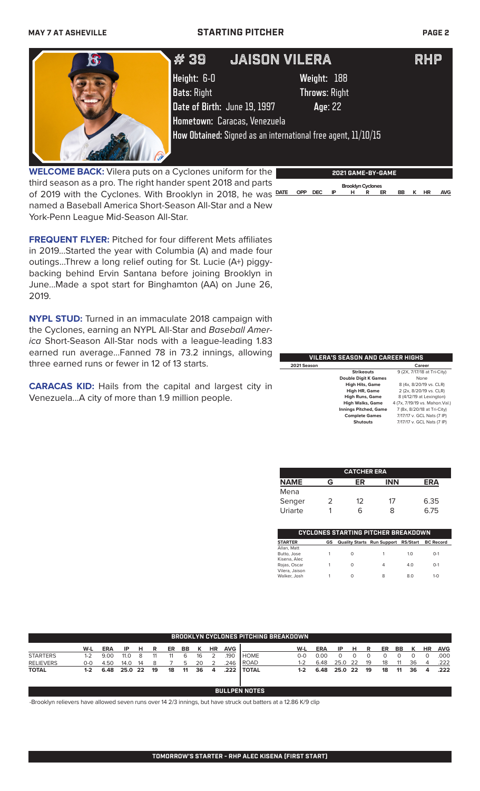### **MAY 7 AT ASHEVILLE STARTING PITCHER PAGE 2**



**WELCOME BACK:** Vilera puts on a Cyclones uniform for the third season as a pro. The right hander spent 2018 and parts of 2019 with the Cyclones. With Brooklyn in 2018, he was **DATE OPP DEC IP H R ER BB K HR AVG** named a Baseball America Short-Season All-Star and a New York-Penn League Mid-Season All-Star.

**FREQUENT FLYER:** Pitched for four different Mets affiliates in 2019...Started the year with Columbia (A) and made four outings...Threw a long relief outing for St. Lucie (A+) piggybacking behind Ervin Santana before joining Brooklyn in June...Made a spot start for Binghamton (AA) on June 26, 2019.

**NYPL STUD:** Turned in an immaculate 2018 campaign with the Cyclones, earning an NYPL All-Star and *Baseball America* Short-Season All-Star nods with a league-leading 1.83 earned run average...Fanned 78 in 73.2 innings, allowing three earned runs or fewer in 12 of 13 starts.

**CARACAS KID:** Hails from the capital and largest city in Venezuela...A city of more than 1.9 million people.

| VILERA'S SEASON AND CAREER HIGHS |                              |                                 |  |  |  |  |  |
|----------------------------------|------------------------------|---------------------------------|--|--|--|--|--|
| 2021 Season                      |                              | Career                          |  |  |  |  |  |
|                                  | <b>Strikeouts</b>            | 9 (2X, 7/17/18 at Tri-City)     |  |  |  |  |  |
|                                  | <b>Double Digit K Games</b>  | None                            |  |  |  |  |  |
|                                  | <b>High Hits, Game</b>       | 8 (4x, 8/20/19 vs. CLR)         |  |  |  |  |  |
|                                  | High HR, Game                | 2 (2x, 8/20/19 vs. CLR)         |  |  |  |  |  |
|                                  | <b>High Runs, Game</b>       | 8 (4/12/19 at Lexington)        |  |  |  |  |  |
|                                  | <b>High Walks, Game</b>      | 4 (7x, 7/19/19 vs. Mahon. Val.) |  |  |  |  |  |
|                                  | <b>Innings Pitched, Game</b> | 7 (8x, 8/20/18 at Tri-City)     |  |  |  |  |  |
|                                  | <b>Complete Games</b>        | 7/17/17 v. GCL Nats (7 IP)      |  |  |  |  |  |
|                                  | Shutouts                     | 7/17/17 v. GCL Nats (7 IP)      |  |  |  |  |  |
|                                  |                              |                                 |  |  |  |  |  |

 **Brooklyn Cyclones** 

|             |   | <b>CATCHER ERA</b> |            |      |
|-------------|---|--------------------|------------|------|
| <b>NAME</b> | G | ER                 | <b>INN</b> | ERΔ  |
| Mena        |   |                    |            |      |
| Senger      |   | $12^{\circ}$       | 17         | 6.35 |
| Uriarte     |   | 6                  | x          | 6.75 |

| <b>CYCLONES STARTING PITCHER BREAKDOWN</b> |    |                                     |   |     |                  |  |  |  |
|--------------------------------------------|----|-------------------------------------|---|-----|------------------|--|--|--|
| <b>STARTER</b>                             | GS | Quality Starts Run Support RS/Start |   |     | <b>BC Record</b> |  |  |  |
| Allan, Matt<br>Butto, Jose<br>Kisena, Alec |    | Ω                                   |   | 10  | $O-1$            |  |  |  |
| Rojas, Oscar<br>Vilera, Jaison             |    | Ω                                   | 4 | 4.0 | $O-1$            |  |  |  |
| Walker, Josh                               |    | Ω                                   | 8 | 8.0 | $1 - \Omega$     |  |  |  |

| <b>BROOKLYN CYCLONES PITCHING BREAKDOWN.</b> |       |            |         |    |    |    |     |    |    |            |              |         |            |         |      |    |    |    |    |           |            |
|----------------------------------------------|-------|------------|---------|----|----|----|-----|----|----|------------|--------------|---------|------------|---------|------|----|----|----|----|-----------|------------|
|                                              | W-L   | <b>ERA</b> | ΙP      | н  | R  | ER | BB. | к  | HR | <b>AVG</b> |              | W-L     | <b>ERA</b> | IP      | н    | R  | ER | BB | к  | <b>HR</b> | <b>AVG</b> |
| <b>STARTERS</b>                              | 1-2   | 9.00       | 11.0    |    |    |    | 6   | 16 |    | .190       | <b>HOME</b>  | 0-0     | 0.00       |         |      |    |    |    |    |           | .000       |
| <b>RELIEVERS</b>                             | $O-O$ | 4.50       | 14.0    | 14 |    |    |     | 20 |    | .246       | ROAD         | $1 - 2$ | 6.48       | 25.0    | - 22 | 19 |    |    | 36 | $\Delta$  | .222       |
| <b>TOTAL</b>                                 | $1-2$ | 6.48       | 25.0 22 |    | 19 | 18 | 11  | 36 | 4  | .222       | <b>TOTAL</b> | $1-2$   | 6.48       | 25.0 22 |      | 19 | 18 | 11 | 36 | 4         | .222       |

### **BULLPEN NOTES**

-Brooklyn relievers have allowed seven runs over 14 2/3 innings, but have struck out batters at a 12.86 K/9 clip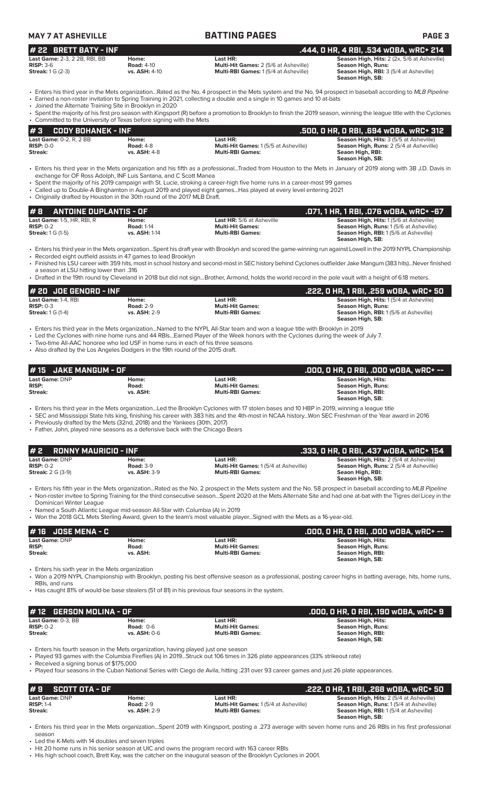| <b>MAY 7 AT ASHEVILLE</b>             |                      | <b>BATTING PAGES</b>                         | <b>PAGE 3</b>                                      |  |  |  |  |
|---------------------------------------|----------------------|----------------------------------------------|----------------------------------------------------|--|--|--|--|
| $#$ 22 BRETT BATY - INF               |                      |                                              | . .444. O HR. 4 RBI. .534 wOBA. wRC+ 214           |  |  |  |  |
| <b>Last Game: 2-3. 2 2B. RBI. BB.</b> | Home:                | Last HR:                                     | <b>Season High, Hits: 2 (2x, 5/6 at Asheville)</b> |  |  |  |  |
| $RISP: 3-6$                           | <b>Road: 4-10</b>    | <b>Multi-Hit Games: 2 (5/6 at Asheville)</b> | Season High, Runs:                                 |  |  |  |  |
| <b>Streak:</b> $1 \text{ G}$ $(2-3)$  | <b>vs. ASH: 4-10</b> | <b>Multi-RBI Games: 1(5/4 at Asheville)</b>  | <b>Season High, RBI: 3 (5/4 at Asheville)</b>      |  |  |  |  |

**Season High, SB:** 

- Enters his third year in the Mets organization...Rated as the No. 4 prospect in the Mets system and the No. 94 prospect in baseball according to *MLB Pipeline* • Earned a non-roster invitation to Spring Training in 2021, collecting a double and a single in 10 games and 10 at-bats
- Joined the Alternate Training Site in Brooklyn in 2020
- Spent the majority of his first pro season with Kingsport (R) before a promotion to Brooklyn to finish the 2019 season, winning the league title with the Cyclones • Committed to the University of Texas before signing with the Mets

| l#3<br>CODY BOHANEK - INF      |                     |                                             | ' .500, 0 HR, 0 RBI, .694 w0BA, wRC+ 312,      |
|--------------------------------|---------------------|---------------------------------------------|------------------------------------------------|
| <b>Last Game:</b> 0-2, R, 2 BB | Home:               | Last HR:                                    | <b>Season High, Hits: 3 (5/5 at Asheville)</b> |
| $RISP: 0-0$                    | <b>Road: 4-8</b>    | <b>Multi-Hit Games: 1(5/5 at Asheville)</b> | <b>Season High, Runs: 2 (5/4 at Asheville)</b> |
| Streak:                        | <b>vs. ASH: 4-8</b> | <b>Multi-RBI Games:</b>                     | Seaon High, RBI:                               |
|                                |                     |                                             | Season High, SB:                               |

- Enters his third year in the Mets organization and his fifth as a professional...Traded from Houston to the Mets in January of 2019 along with 3B J.D. Davis in exchange for OF Ross Adolph, INF Luis Santana, and C Scott Manea
- Spent the majority of his 2019 campaign with St. Lucie, stroking a career-high five home runs in a career-most 99 games
- Called up to Double-A Binghamton in August 2019 and played eight games...Has played at every level entering 2021 • Originally drafted by Houston in the 30th round of the 2017 MLB Draft.

| #B<br>ANTOINE DUPLANTIS - OF ' |                   |                                  | .071. 1 HR. 1 RBI. .076 WOBA. wRC+ -67        |
|--------------------------------|-------------------|----------------------------------|-----------------------------------------------|
| Last Game: 1-5, HR, RBI, R     | Home:             | <b>Last HR:</b> 5/6 at Asheville | <b>Season High, Hits: 1(5/6 at Asheville)</b> |
| $RISP: 0-2$                    | <b>Road: 1-14</b> | <b>Multi-Hit Games:</b>          | <b>Season High, Runs: 1(5/6 at Asheville)</b> |
| <b>Streak: 1 G (1-5)</b>       | vs. ASH: 1-14     | <b>Multi-RBI Games:</b>          | <b>Season High, RBI:</b> 1(5/6 at Asheville)  |
|                                |                   |                                  | Season High, SB:                              |

• Enters his third year in the Mets organization...Spent his draft year with Brooklyn and scored the game-winning run against Lowell in the 2019 NYPL Championship • Recorded eight outfield assists in 47 games to lead Brooklyn

- Finished his LSU career with 359 hits, most in school history and second-most in SEC history behind Cyclones outfielder Jake Mangum (383 hits)...Never finished
- a season at LSU hitting lower than .316 • Drafted in the 19th round by Cleveland in 2018 but did not sign...Brother, Armond, holds the world record in the pole vault with a height of 6.18 meters.

| $#$ 20 JOE GENORD - INF                                        |                                                  |                                                                | .222. O HR. 1 RBI. .259 wOBA. wRC+ 50                                                                                                   |
|----------------------------------------------------------------|--------------------------------------------------|----------------------------------------------------------------|-----------------------------------------------------------------------------------------------------------------------------------------|
| Last Game: 1-4. RBI<br>$RISP: 0-3$<br><b>Streak:</b> 1 G (1-4) | Home:<br><b>Road: 2-9</b><br><b>vs. ASH: 2-9</b> | Last HR:<br><b>Multi-Hit Games:</b><br><b>Multi-RBI Games:</b> | <b>Season High, Hits: 1(5/4 at Asheville)</b><br>Season High, Runs:<br><b>Season High, RBI:</b> 1(5/6 at Asheville)<br>Season High, SB: |

• Enters his third year in the Mets organization...Named to the NYPL All-Star team and won a league title with Brooklyn in 2019

Led the Cyclones with nine home runs and 44 RBIs...Earned Player of the Week honors with the Cyclones during the week of July 7.

• Two-time All-AAC honoree who led USF in home runs in each of his three seasons Also drafted by the Los Angeles Dodgers in the 19th round of the 2015 draft.

| $#15$ JAKE MANGUM - OF  |                   |                                                    | .000. O HR. O RBI. .000 wOBA. wRC+ --          |
|-------------------------|-------------------|----------------------------------------------------|------------------------------------------------|
| Last Game: DNP          | Home:             | Last HR:                                           | Season High, Hits:                             |
| <b>RISP:</b><br>Streak: | Road:<br>vs. ASH: | <b>Multi-Hit Games:</b><br><b>Multi-RBI Games:</b> | <b>Season High, Runs:</b><br>Season High, RBI: |
|                         |                   |                                                    | Season High, SB:                               |

• Enters his third year in the Mets organization...Led the Brooklyn Cyclones with 17 stolen bases and 10 HBP in 2019, winning a league title

• SEC and Mississippi State hits king, finishing his career with 383 hits and the 4th-most in NCAA history...Won SEC Freshman of the Year award in 2016 • Previously drafted by the Mets (32nd, 2018) and the Yankees (30th, 2017)

• Father, John, played nine seasons as a defensive back with the Chicago Bears

| l#2<br>RONNY MAURICIO - INF                                      |                                                  |                                                                                                                                                             | . .333, O HR, O RBI, .437 wOBA, wRC+ 154                                                                                                 |
|------------------------------------------------------------------|--------------------------------------------------|-------------------------------------------------------------------------------------------------------------------------------------------------------------|------------------------------------------------------------------------------------------------------------------------------------------|
| <b>Last Game: DNP</b><br>$RISP: 0-2$<br><b>Streak: 2 G (3-9)</b> | Home:<br><b>Road: 3-9</b><br><b>vs. ASH: 3-9</b> | Last HR:<br>Multi-Hit Games: 1(5/4 at Asheville)<br><b>Multi-RBI Games:</b>                                                                                 | <b>Season High, Hits: 2 (5/4 at Asheville)</b><br><b>Season High, Runs: 2 (5/4 at Asheville)</b><br>Seaon High, RBI:<br>Season High, SB: |
|                                                                  |                                                  | Entered big fifth vear in the Meteorganization. Pated as the Ne. 2 prespect in the Meteorgtom and the Ne. 50 prespect in baseball according to MLD Dineline |                                                                                                                                          |

- Enters his fifth year in the Mets organization...Rated as the No. 2 prospect in the Mets system and the No. 58 prospect in baseball according to *MLB Pipeline* • Non-roster invitee to Spring Training for the third consecutive season...Spent 2020 at the Mets Alternate Site and had one at-bat with the Tigres del Licey in the Dominican Winter League
- Named a South Atlantic League mid-season All-Star with Columbia (A) in 2019
- Won the 2018 GCL Mets Sterling Award, given to the team's most valuable player...Signed with the Mets as a 16-year-old.

| 1# 16   JOSE MENA - C                            |                            |                                                                | .000. O HR. O RBI. .000 wOBA. wRC+ --                                             |
|--------------------------------------------------|----------------------------|----------------------------------------------------------------|-----------------------------------------------------------------------------------|
| <b>Last Game: DNP</b><br><b>RISP:</b><br>Streak: | Home:<br>Road:<br>vs. ASH: | Last HR:<br><b>Multi-Hit Games:</b><br><b>Multi-RBI Games:</b> | Season High, Hits:<br>Season High, Runs:<br>Season High, RBI:<br>Season High, SB: |

• Enters his sixth year in the Mets organization

• Won a 2019 NYPL Championship with Brooklyn, posting his best offensive season as a professional, posting career highs in batting average, hits, home runs, RBIs, and runs • Has caught 81% of would-be base stealers (51 of 81) in his previous four seasons in the system.

| $#12$ GERSON MOLINA - OF |                     |                         | .000, 0 HR, 0 RBI, .190 w0BA, wRC+ 9 |
|--------------------------|---------------------|-------------------------|--------------------------------------|
| Last Game: 0-3, BB       | Home:               | Last HR:                | Season High, Hits:                   |
| $RISP: 0-2$              | Road: $0-6$         | <b>Multi-Hit Games:</b> | Season High, Runs:                   |
| Streak:                  | <b>vs. ASH: 0-6</b> | <b>Multi-RBI Games:</b> | Season High, RBI:                    |
|                          |                     |                         | Season High, SB:                     |

• Enters his fourth season in the Mets organization, having played just one season

• Played 93 games with the Columbia Fireflies (A) in 2019...Struck out 106 times in 326 plate appearances (33% strikeout rate)

• Received a signing bonus of \$175,000

• Played four seasons in the Cuban National Series with Ciego de Avila, hitting .231 over 93 career games and just 26 plate appearances.

| #9<br>' SCOTT OTA - OF . |                     |                                             | ' .222, 0 HR, 1 RBI, .268 wOBA, wRC+ 50,       |
|--------------------------|---------------------|---------------------------------------------|------------------------------------------------|
| Last Game: DNP           | Home:               | Last HR:                                    | <b>Season High, Hits: 2 (5/4 at Asheville)</b> |
| $RISP: 1-4$              | <b>Road: 2-9</b>    | <b>Multi-Hit Games: 1(5/4 at Asheville)</b> | <b>Season High, Runs: 1(5/4 at Asheville)</b>  |
| Streak:                  | <b>vs. ASH: 2-9</b> | <b>Multi-RBI Games:</b>                     | <b>Season High, RBI:</b> 1(5/4 at Asheville)   |
|                          |                     |                                             | Season High, SB:                               |

• Enters his third year in the Mets organization...Spent 2019 with Kingsport, posting a .273 average with seven home runs and 26 RBIs in his first professional season

Led the K-Mets with 14 doubles and seven triples

• Hit 20 home runs in his senior season at UIC and owns the program record with 163 career RBIs

• His high school coach, Brett Kay, was the catcher on the inaugural season of the Brooklyn Cyclones in 2001.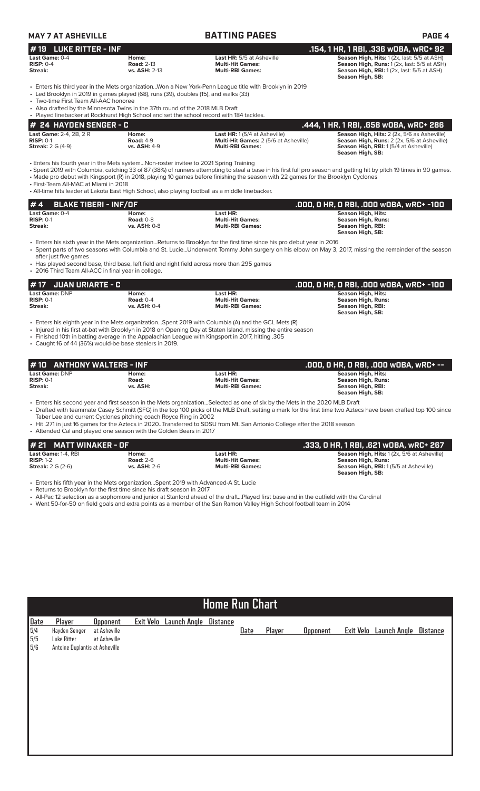| <b>MAY 7 AT ASHEVILLE</b>                                                    |                                                                                                                                                                                                                                                                   | <b>BATTING PAGES</b>                                                                                                                                                                                                                                                                                                      | <b>PAGE 4</b>                                                                                                                                                         |
|------------------------------------------------------------------------------|-------------------------------------------------------------------------------------------------------------------------------------------------------------------------------------------------------------------------------------------------------------------|---------------------------------------------------------------------------------------------------------------------------------------------------------------------------------------------------------------------------------------------------------------------------------------------------------------------------|-----------------------------------------------------------------------------------------------------------------------------------------------------------------------|
| <b>LUKE RITTER - INF</b><br># 19                                             |                                                                                                                                                                                                                                                                   |                                                                                                                                                                                                                                                                                                                           | .154, 1 HR, 1 RBI, .336 wOBA, wRC+ 92                                                                                                                                 |
| Last Game: 0-4<br>$RISP: 0-4$<br>Streak:                                     | Home:<br><b>Road: 2-13</b><br>vs. ASH: 2-13                                                                                                                                                                                                                       | <b>Last HR:</b> 5/5 at Asheville<br><b>Multi-Hit Games:</b><br><b>Multi-RBI Games:</b>                                                                                                                                                                                                                                    | Season High, Hits: 1 (2x, last: 5/5 at ASH)<br>Season High, Runs: 1(2x, last: 5/5 at ASH)<br>Season High, RBI: 1 (2x, last: 5/5 at ASH)<br>Season High, SB:           |
| • Two-time First Team All-AAC honoree                                        | • Led Brooklyn in 2019 in games played (68), runs (39), doubles (15), and walks (33)<br>• Also drafted by the Minnesota Twins in the 37th round of the 2018 MLB Draft<br>• Played linebacker at Rockhurst High School and set the school record with 184 tackles. | Enters his third year in the Mets organizationWon a New York-Penn League title with Brooklyn in 2019                                                                                                                                                                                                                      |                                                                                                                                                                       |
| # 24 HAYDEN SENGER - C                                                       |                                                                                                                                                                                                                                                                   |                                                                                                                                                                                                                                                                                                                           | .444, 1 HR, 1 RBI, .658 WOBA, WRC+ 286                                                                                                                                |
| Last Game: 2-4, 2B, 2R<br>$RISP: 0-1$<br><b>Streak: 2 G (4-9)</b>            | Home:<br><b>Road: 4-9</b><br><b>vs. ASH: 4-9</b>                                                                                                                                                                                                                  | Last HR: 1 (5/4 at Asheville)<br><b>Multi-Hit Games:</b> 2 (5/6 at Asheville)<br><b>Multi-RBI Games:</b>                                                                                                                                                                                                                  | Season High, Hits: 2 (2x, 5/6 as Asheville)<br>Season High, Runs: 2 (2x, 5/6 at Asheville)<br>Season High, RBI: 1 (5/4 at Asheville)<br>Season High, SB:              |
| • First-Team All-MAC at Miami in 2018                                        | • Enters his fourth year in the Mets systemNon-roster invitee to 2021 Spring Training                                                                                                                                                                             | • Made pro debut with Kingsport (R) in 2018, playing 10 games before finishing the season with 22 games for the Brooklyn Cyclones<br>• All-time hits leader at Lakota East High School, also playing football as a middle linebacker.                                                                                     | • Spent 2019 with Columbia, catching 33 of 87 (38%) of runners attempting to steal a base in his first full pro season and getting hit by pitch 19 times in 90 games. |
| #4<br><b>BLAKE TIBERI - INF/OF</b>                                           |                                                                                                                                                                                                                                                                   |                                                                                                                                                                                                                                                                                                                           | .000, 0 HR, 0 RBI, .000 w0BA, wRC+ -100                                                                                                                               |
| Last Game: 0-4<br><b>RISP: 0-1</b><br>Streak:                                | Home:<br><b>Road: 0-8</b><br>vs. ASH: 0-8                                                                                                                                                                                                                         | Last HR:<br><b>Multi-Hit Games:</b><br><b>Multi-RBI Games:</b>                                                                                                                                                                                                                                                            | Season High, Hits:<br><b>Season High, Runs:</b><br>Season High, RBI:<br><b>Season High, SB:</b>                                                                       |
| after just five games<br>• 2016 Third Team All-ACC in final year in college. |                                                                                                                                                                                                                                                                   | • Enters his sixth year in the Mets organizationReturns to Brooklyn for the first time since his pro debut year in 2016<br>• Has played second base, third base, left field and right field across more than 295 games                                                                                                    | • Spent parts of two seasons with Columbia and St. LucieUnderwent Tommy John surgery on his elbow on May 3, 2017, missing the remainder of the season                 |
| <b>JUAN URIARTE - C</b><br># 17                                              |                                                                                                                                                                                                                                                                   |                                                                                                                                                                                                                                                                                                                           | .000, 0 HR, 0 RBI, .000 w0BA, wRC+ -100                                                                                                                               |
| Last Game: DNP<br><b>RISP: 0-1</b><br>Streak:                                | Home:<br><b>Road: 0-4</b><br>vs. ASH: 0-4                                                                                                                                                                                                                         | Last HR:<br><b>Multi-Hit Games:</b><br><b>Multi-RBI Games:</b>                                                                                                                                                                                                                                                            | Season High, Hits:<br><b>Season High, Runs:</b><br>Season High, RBI:<br>Season High, SB:                                                                              |
|                                                                              | • Caught 16 of 44 (36%) would-be base stealers in 2019.                                                                                                                                                                                                           | • Enters his eighth year in the Mets organizationSpent 2019 with Columbia (A) and the GCL Mets (R)<br>• Injured in his first at-bat with Brooklyn in 2018 on Opening Day at Staten Island, missing the entire season<br>. Finished 10th in batting average in the Appalachian League with Kingsport in 2017, hitting .305 |                                                                                                                                                                       |
| <b>ANTHONY WALTERS - INF</b>                                                 |                                                                                                                                                                                                                                                                   |                                                                                                                                                                                                                                                                                                                           | .000, O HR, O RBI, .000 WOBA, WRC+ --                                                                                                                                 |
| Last Game: DNP                                                               | Home:                                                                                                                                                                                                                                                             | Last HR:                                                                                                                                                                                                                                                                                                                  | Season High, Hits:                                                                                                                                                    |
| <b>RISP: 0-1</b><br><b>Streak:</b>                                           | Road:<br>vs. ASH:                                                                                                                                                                                                                                                 | <b>Multi-Hit Games:</b><br><b>Multi-RBI Games:</b>                                                                                                                                                                                                                                                                        | Season High, Runs:<br>Season High, RBI:<br>Season High, SB:                                                                                                           |
|                                                                              | Taber Lee and current Cyclones pitching coach Royce Ring in 2002<br>• Attended Cal and played one season with the Golden Bears in 2017                                                                                                                            | • Enters his second year and first season in the Mets organizationSelected as one of six by the Mets in the 2020 MLB Draft<br>• Hit .271 in just 16 games for the Aztecs in 2020Transferred to SDSU from Mt. San Antonio College after the 2018 season                                                                    | • Drafted with teammate Casey Schmitt (SFG) in the top 100 picks of the MLB Draft, setting a mark for the first time two Aztecs have been drafted top 100 since       |
| <b>MATT WINAKER - OF</b>                                                     |                                                                                                                                                                                                                                                                   |                                                                                                                                                                                                                                                                                                                           | .333, 0 HR, 1 RBI, .621 wOBA, wRC+ 267                                                                                                                                |
| Last Game: 1-4, RBI<br><b>RISP: 1-2</b><br><b>Streak:</b> 2 G (2-6)          | Home:<br><b>Road: 2-6</b><br>vs. ASH: 2-6                                                                                                                                                                                                                         | Last HR:<br><b>Multi-Hit Games:</b><br><b>Multi-RBI Games:</b>                                                                                                                                                                                                                                                            | Season High, Hits: 1 (2x, 5/6 at Asheville)<br>Season High, Runs:<br>Season High, RBI: 1 (5/5 at Asheville)<br>Season High, SB:                                       |
|                                                                              | • Enters his fifth year in the Mets organizationSpent 2019 with Advanced-A St. Lucie<br>• Returns to Brooklyn for the first time since his draft season in 2017                                                                                                   | • All-Pac 12 selection as a sophomore and junior at Stanford ahead of the draftPlayed first base and in the outfield with the Cardinal<br>• Went 50-for-50 on field goals and extra points as a member of the San Ramon Valley High School football team in 2014                                                          |                                                                                                                                                                       |
|                                                                              |                                                                                                                                                                                                                                                                   |                                                                                                                                                                                                                                                                                                                           |                                                                                                                                                                       |
|                                                                              |                                                                                                                                                                                                                                                                   |                                                                                                                                                                                                                                                                                                                           |                                                                                                                                                                       |
|                                                                              |                                                                                                                                                                                                                                                                   |                                                                                                                                                                                                                                                                                                                           |                                                                                                                                                                       |

|                                                                               | <b>Home Run Chart</b>                  |                                                 |  |                        |                 |             |        |                 |  |                        |                 |
|-------------------------------------------------------------------------------|----------------------------------------|-------------------------------------------------|--|------------------------|-----------------|-------------|--------|-----------------|--|------------------------|-----------------|
| $\begin{array}{l} \underline{\textbf{Date}} \\ 5/4 \\ 5/5 \\ 5/6 \end{array}$ | Player<br>Hayden Senger<br>Luke Ritter | <b>Opponent</b><br>at Asheville<br>at Asheville |  | Exit Velo Launch Angle | <b>Distance</b> | <b>Date</b> | Player | <b>Opponent</b> |  | Exit Velo Launch Angle | <b>Distance</b> |
|                                                                               | Antoine Duplantis at Asheville         |                                                 |  |                        |                 |             |        |                 |  |                        |                 |
|                                                                               |                                        |                                                 |  |                        |                 |             |        |                 |  |                        |                 |
|                                                                               |                                        |                                                 |  |                        |                 |             |        |                 |  |                        |                 |
|                                                                               |                                        |                                                 |  |                        |                 |             |        |                 |  |                        |                 |
|                                                                               |                                        |                                                 |  |                        |                 |             |        |                 |  |                        |                 |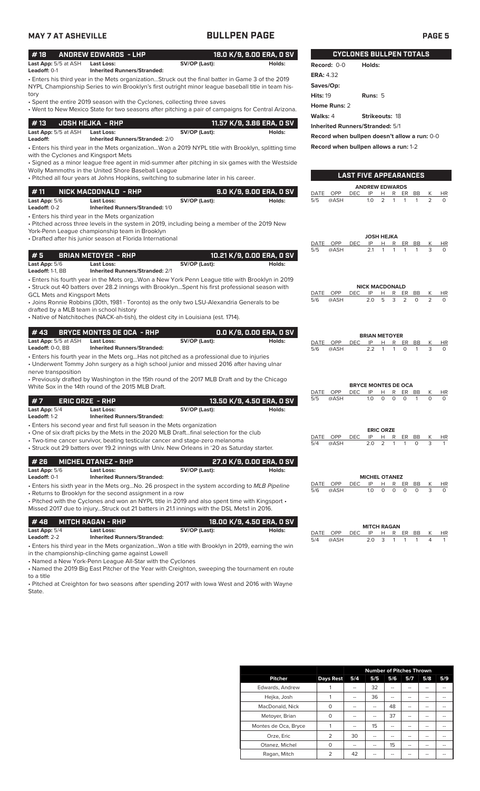| #18                         | ANDREW EDWARDS - LHP               |               | 18.0 K/9. 9.00 ERA. 0 SV |                 | <b>CYCLONES BULLPEN TOTALS</b> |
|-----------------------------|------------------------------------|---------------|--------------------------|-----------------|--------------------------------|
| <b>Last App:</b> 5/5 at ASH | Last Loss:                         | SV/OP (Last): | Holds:                   | Record: $0-0$   | Holds:                         |
| Leadoff: $0-1$              | <b>Inherited Runners/Stranded:</b> |               |                          | $- - - - - - -$ |                                |

• Enters his third year in the Mets organization...Struck out the final batter in Game 3 of the 2019 NYPL Championship Series to win Brooklyn's first outright minor league baseball title in team history

• Spent the entire 2019 season with the Cyclones, collecting three saves

• Went to New Mexico State for two seasons after pitching a pair of campaigns for Central Arizona.

| # 13       JOSH HEJKA  - RHP            |                                                      |               | 11.57 K/9, 3.86 ERA, 0 SV |
|-----------------------------------------|------------------------------------------------------|---------------|---------------------------|
| <b>Last App:</b> 5/5 at ASH<br>Leadoff: | Last Loss:<br><b>Inherited Runners/Stranded: 2/0</b> | SV/OP (Last): | Holds:                    |

• Enters his third year in the Mets organization...Won a 2019 NYPL title with Brooklyn, splitting time with the Cyclones and Kingsport Mets

• Signed as a minor league free agent in mid-summer after pitching in six games with the Westside Wolly Mammoths in the United Shore Baseball League

• Pitched all four years at Johns Hopkins, switching to submarine later in his career.

| # 11                                             | : NICK MACDONALD - RHP '                             |               | 9.0 K/9, 9.00 ERA, 0 SV |  |  |
|--------------------------------------------------|------------------------------------------------------|---------------|-------------------------|--|--|
| <b>Last App: 5/6</b><br>Leadoff: $0-2$           | Last Loss:<br><b>Inherited Runners/Stranded: 1/0</b> | SV/OP (Last): | Holds:                  |  |  |
| • Enters his third year in the Mets organization |                                                      |               |                         |  |  |

• Pitched across three levels in the system in 2019, including being a member of the 2019 New York-Penn League championship team in Brooklyn

• Drafted after his junior season at Florida International

|                                         |                                                                         |                                                                                                                                                                                                                                                                                         |                           | DATE | OPP        | DEC        | IP  | н                          | R                    | BB<br>ER     | Κ              | <b>HR</b>    |
|-----------------------------------------|-------------------------------------------------------------------------|-----------------------------------------------------------------------------------------------------------------------------------------------------------------------------------------------------------------------------------------------------------------------------------------|---------------------------|------|------------|------------|-----|----------------------------|----------------------|--------------|----------------|--------------|
| #5                                      | <b>BRIAN METOYER - RHP</b>                                              |                                                                                                                                                                                                                                                                                         | 10.21 K/9, 0.00 ERA, 0 SV | 5/5  | @ASH       |            | 2.1 |                            |                      |              | 3              | $\Omega$     |
| Last App: 5/6<br>Leadoff: 1-1, BB       | Last Loss:<br><b>Inherited Runners/Stranded: 2/1</b>                    | SV/OP (Last):                                                                                                                                                                                                                                                                           | Holds:                    |      |            |            |     |                            |                      |              |                |              |
|                                         |                                                                         | · Enters his fourth year in the Mets orgWon a New York Penn League title with Brooklyn in 2019                                                                                                                                                                                          |                           |      |            |            |     |                            |                      |              |                |              |
|                                         |                                                                         | • Struck out 40 batters over 28.2 innings with BrooklynSpent his first professional season with                                                                                                                                                                                         |                           |      |            |            |     | <b>NICK MACDONALD</b>      |                      |              |                |              |
| <b>GCL Mets and Kingsport Mets</b>      |                                                                         |                                                                                                                                                                                                                                                                                         |                           | DATE | OPP        | <b>DEC</b> | IP  | н                          | R<br>ER              | BB           | Κ              | HR           |
|                                         |                                                                         | • Joins Ronnie Robbins (30th, 1981 - Toronto) as the only two LSU-Alexandria Generals to be                                                                                                                                                                                             |                           | 5/6  | @ASH       |            | 2.0 | 5                          | 3<br>$\overline{2}$  | $\Omega$     | $\overline{2}$ | $\Omega$     |
| drafted by a MLB team in school history |                                                                         |                                                                                                                                                                                                                                                                                         |                           |      |            |            |     |                            |                      |              |                |              |
|                                         |                                                                         | • Native of Natchitoches (NACK-ah-tish), the oldest city in Louisiana (est. 1714).                                                                                                                                                                                                      |                           |      |            |            |     |                            |                      |              |                |              |
| #43                                     | <b>BRYCE MONTES DE OCA - RHP</b>                                        |                                                                                                                                                                                                                                                                                         | 0.0 K/9, 0.00 ERA, 0 SV   |      |            |            |     | <b>BRIAN METOYER</b>       |                      |              |                |              |
| Last App: 5/5 at ASH                    | <b>Last Loss:</b>                                                       | SV/OP (Last):                                                                                                                                                                                                                                                                           | Holds:                    | DATE | OPP        | <b>DEC</b> | IP  | H                          | R<br>ER.             | BB           | К              | HR           |
| Leadoff: 0-0, BB                        | <b>Inherited Runners/Stranded:</b>                                      |                                                                                                                                                                                                                                                                                         |                           | 5/6  | @ASH       |            | 2.2 | $\mathbf{1}$               | $\circ$<br>1         | 1            | 3              | $\Omega$     |
| nerve transposition                     |                                                                         | • Enters his fourth year in the Mets orgHas not pitched as a professional due to injuries<br>· Underwent Tommy John surgery as a high school junior and missed 2016 after having ulnar<br>• Previously drafted by Washington in the 15th round of the 2017 MLB Draft and by the Chicago |                           |      |            |            |     |                            |                      |              |                |              |
|                                         | White Sox in the 14th round of the 2015 MLB Draft.                      |                                                                                                                                                                                                                                                                                         |                           |      |            |            |     | <b>BRYCE MONTES DE OCA</b> |                      |              |                |              |
|                                         |                                                                         |                                                                                                                                                                                                                                                                                         |                           | DATE | OPP        | <b>DEC</b> | IP  | н                          | R<br><b>ER</b>       | <b>BB</b>    | K              | HR           |
| #7                                      | <b>ERIC ORZE - RHP</b>                                                  |                                                                                                                                                                                                                                                                                         | 13.50 K/9, 4.50 ERA, 0 SV | 5/5  | @ASH       |            | 1.0 | $\Omega$                   | $\Omega$<br>$\Omega$ | $\mathbf{1}$ | $\Omega$       | $\Omega$     |
| Last App: 5/4                           | Last Loss:                                                              | SV/OP (Last):                                                                                                                                                                                                                                                                           | Holds:                    |      |            |            |     |                            |                      |              |                |              |
| Leadoff: 1-2                            | <b>Inherited Runners/Stranded:</b>                                      |                                                                                                                                                                                                                                                                                         |                           |      |            |            |     |                            |                      |              |                |              |
|                                         | • Enters his second year and first full season in the Mets organization |                                                                                                                                                                                                                                                                                         |                           |      |            |            |     |                            |                      |              |                |              |
|                                         |                                                                         | . One of six draft picks by the Mets in the 2020 MLB Draftfinal selection for the club                                                                                                                                                                                                  |                           | DATE | OPP        | <b>DEC</b> | IP  | <b>ERIC ORZE</b><br>Н      | R<br>ER              | BB           | Κ              | HR           |
|                                         |                                                                         | • Two-time cancer survivor, beating testicular cancer and stage-zero melanoma                                                                                                                                                                                                           |                           | 5/4  | @ASH       |            | 2.0 | 2                          |                      | $\Omega$     | 3              | $\mathbf{1}$ |
|                                         |                                                                         | • Struck out 29 batters over 19.2 innings with Univ. New Orleans in '20 as Saturday starter.                                                                                                                                                                                            |                           |      |            |            |     |                            |                      |              |                |              |
| #26                                     | <b>MICHEL OTANEZ - RHP</b>                                              |                                                                                                                                                                                                                                                                                         | 27.0 K/9, 0.00 ERA, 0 SV  |      |            |            |     |                            |                      |              |                |              |
| Last App: 5/6                           | Last Loss:                                                              | SV/OP (Last):                                                                                                                                                                                                                                                                           | Holds:                    |      |            |            |     |                            |                      |              |                |              |
| Leadoff: 0-1                            | <b>Inherited Runners/Stranded:</b>                                      |                                                                                                                                                                                                                                                                                         |                           |      |            |            |     | <b>MICHEL OTANEZ</b>       |                      |              |                |              |
|                                         |                                                                         | . Enters his sixth year in the Mets orgNo. 26 prospect in the system according to MLB Pipeline                                                                                                                                                                                          |                           | DATE | OPP        | <b>DEC</b> | IP  | Н                          | R                    | ER<br>BB     | Κ              | <b>HR</b>    |
|                                         | • Returns to Brooklyn for the second assignment in a row                |                                                                                                                                                                                                                                                                                         |                           | 5/6  | @ASH       |            | 1.0 | $\Omega$                   | $\Omega$<br>$\Omega$ | $\Omega$     | 3              | $\Omega$     |
|                                         |                                                                         | • Pitched with the Cyclones and won an NYPL title in 2019 and also spent time with Kingsport •                                                                                                                                                                                          |                           |      |            |            |     |                            |                      |              |                |              |
|                                         |                                                                         | Missed 2017 due to injuryStruck out 21 batters in 21.1 innings with the DSL Mets1 in 2016.                                                                                                                                                                                              |                           |      |            |            |     |                            |                      |              |                |              |
| #48                                     | <b>MITCH RAGAN - RHP</b>                                                |                                                                                                                                                                                                                                                                                         | 18.00 K/9, 4.50 ERA, 0 SV |      |            |            |     |                            |                      |              |                |              |
| Last App: 5/4                           | Last Loss:                                                              | SV/OP (Last):                                                                                                                                                                                                                                                                           | Holds:                    | DATE | <b>OPP</b> | <b>DEC</b> | IP  | <b>MITCH RAGAN</b><br>H    | R<br>ER.             | BB           |                | HR           |
| Leadoff: 2-2                            | <b>Inherited Runners/Stranded:</b>                                      |                                                                                                                                                                                                                                                                                         |                           | 5/4  | @ASH       |            | 2.0 | 3                          | $\mathbf{1}$         |              | Δ              |              |
|                                         |                                                                         | • Enters his third year in the Mets organizationWon a title with Brooklyn in 2019, earning the win                                                                                                                                                                                      |                           |      |            |            |     |                            |                      |              |                |              |
|                                         | in the championship-clinching game against Lowell                       |                                                                                                                                                                                                                                                                                         |                           |      |            |            |     |                            |                      |              |                |              |

• Named a New York-Penn League All-Star with the Cyclones

• Named the 2019 Big East Pitcher of the Year with Creighton, sweeping the tournament en route to a title

• Pitched at Creighton for two seasons after spending 2017 with Iowa West and 2016 with Wayne State.

|                      |                  |     | <b>Number of Pitches Thrown</b> |                |     |     |     |
|----------------------|------------------|-----|---------------------------------|----------------|-----|-----|-----|
| <b>Pitcher</b>       | <b>Days Rest</b> | 5/4 | 5/5                             | 5/6            | 5/7 | 5/8 | 5/9 |
| Edwards, Andrew      |                  | --  | 32                              | --             | --  | --  |     |
| Hejka, Josh          |                  | --  | 36                              | --             | --  | --  |     |
| MacDonald, Nick      | O                | --  | --                              | 48             | --  | --  |     |
| Metoyer, Brian       | O                | --  | --                              | 37             | --  | --  |     |
| Montes de Oca, Bryce |                  | --  | 15                              | $\overline{a}$ | --  | --  |     |
| Orze, Eric           | 2                | 30  | --                              | --             | --  | --  |     |
| Otanez, Michel       | O                | --  | --                              | 15             | --  | --  | --  |
| Ragan, Mitch         | $\overline{2}$   | 42  |                                 |                |     |     |     |

**Record when bullpen doesn't allow a run:** 0-0 **Record when bullpen allows a run:** 1-2

**LAST FIVE APPEARANCES**

**ANDREW EDWARDS**<br>DEC IP H R ER DATE OPP DEC IP H R ER BB K HR 5/5 @ASH 1.0 2 1 1 1 2 0

**JOSH HEJKA**

**ERA:** 4.32 **Saves/Op:** 

**Home Runs:** 2

**Hits:** 19 **Runs:** 5

**Walks:** 4 **Strikeouts:** 18 **Inherited Runners/Stranded:** 5/1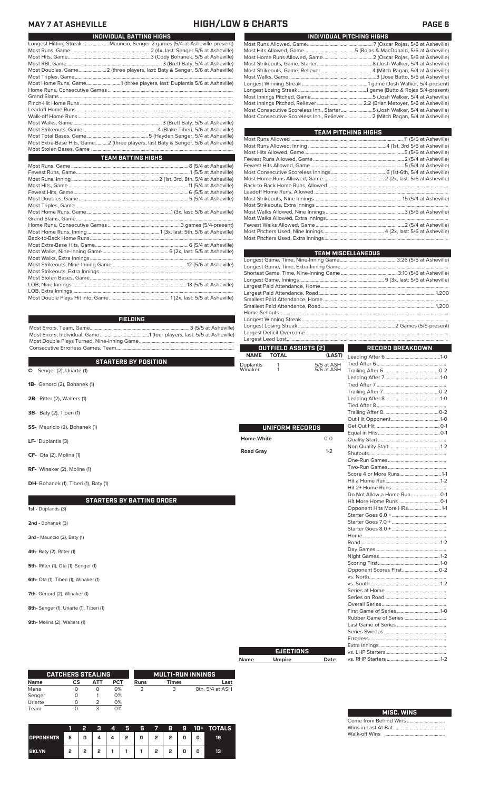### **MAY 7 AT ASHEVILLE HIGH/LOW & CHARTS PAGE 6**

| INDIVIDUAL BATTING HIGHS                                                          |  |  |  |  |  |
|-----------------------------------------------------------------------------------|--|--|--|--|--|
| Longest Hitting StreakMauricio, Senger 2 games (5/4 at Asheville-present)         |  |  |  |  |  |
|                                                                                   |  |  |  |  |  |
|                                                                                   |  |  |  |  |  |
|                                                                                   |  |  |  |  |  |
| Most Doubles, Game2 (three players, last: Baty & Senger, 5/6 at Asheville)        |  |  |  |  |  |
|                                                                                   |  |  |  |  |  |
| Most Home Runs, Game1 (three players, last: Duplantis 5/6 at Asheville)           |  |  |  |  |  |
|                                                                                   |  |  |  |  |  |
|                                                                                   |  |  |  |  |  |
|                                                                                   |  |  |  |  |  |
|                                                                                   |  |  |  |  |  |
|                                                                                   |  |  |  |  |  |
|                                                                                   |  |  |  |  |  |
|                                                                                   |  |  |  |  |  |
|                                                                                   |  |  |  |  |  |
| Most Extra-Base Hits, Game2 (three players, last Baty & Senger, 5/6 at Asheville) |  |  |  |  |  |
|                                                                                   |  |  |  |  |  |
| <b>TEAM BATTING HIGHS</b>                                                         |  |  |  |  |  |
|                                                                                   |  |  |  |  |  |
|                                                                                   |  |  |  |  |  |
|                                                                                   |  |  |  |  |  |
|                                                                                   |  |  |  |  |  |
|                                                                                   |  |  |  |  |  |
|                                                                                   |  |  |  |  |  |
|                                                                                   |  |  |  |  |  |
|                                                                                   |  |  |  |  |  |
|                                                                                   |  |  |  |  |  |
|                                                                                   |  |  |  |  |  |
|                                                                                   |  |  |  |  |  |
|                                                                                   |  |  |  |  |  |
|                                                                                   |  |  |  |  |  |
|                                                                                   |  |  |  |  |  |
|                                                                                   |  |  |  |  |  |
|                                                                                   |  |  |  |  |  |

| Most Consecutive Scoreless Inn., Starter5 (Josh Walker, 5/4 at Asheville)    |  |
|------------------------------------------------------------------------------|--|
| Most Consecutive Scoreless Inn., Reliever  2 (Mitch Ragan, 5/4 at Asheville) |  |
|                                                                              |  |

**INDIVIDUAL PITCHING HIGHS**

**TEAM PITCHING HIGHS**

| <b>EAM FILLAING HIGHS</b> |  |  |  |  |  |  |
|---------------------------|--|--|--|--|--|--|
|                           |  |  |  |  |  |  |
|                           |  |  |  |  |  |  |
|                           |  |  |  |  |  |  |
|                           |  |  |  |  |  |  |
|                           |  |  |  |  |  |  |
|                           |  |  |  |  |  |  |
|                           |  |  |  |  |  |  |
|                           |  |  |  |  |  |  |
|                           |  |  |  |  |  |  |
|                           |  |  |  |  |  |  |
|                           |  |  |  |  |  |  |
|                           |  |  |  |  |  |  |
|                           |  |  |  |  |  |  |
|                           |  |  |  |  |  |  |
|                           |  |  |  |  |  |  |
|                           |  |  |  |  |  |  |

| <b>TEAM MISCELLANEOUS</b> |  |
|---------------------------|--|
|                           |  |
|                           |  |
|                           |  |
|                           |  |
|                           |  |
|                           |  |
|                           |  |
|                           |  |
|                           |  |
|                           |  |
|                           |  |
|                           |  |
|                           |  |

|                                       |                   | <b>OUTFIELD ASSISTS [2]</b> |            | <b>RECORD BREAKDOWN</b>       |  |  |
|---------------------------------------|-------------------|-----------------------------|------------|-------------------------------|--|--|
|                                       | <b>NAME</b>       | <b>TOTAL</b>                | (LAST)     |                               |  |  |
| <b>STARTERS BY POSITION</b>           | <b>Duplantis</b>  | 1                           | 5/5 at ASH |                               |  |  |
| $C-$ Senger (2), Uriarte (1)          | Winaker           | 1                           | 5/6 at ASH |                               |  |  |
|                                       |                   |                             |            |                               |  |  |
| 1B- Genord (2), Bohanek (1)           |                   |                             |            |                               |  |  |
|                                       |                   |                             |            |                               |  |  |
| 2B- Ritter (2), Walters (1)           |                   |                             |            |                               |  |  |
|                                       |                   |                             |            |                               |  |  |
| 3B- Baty (2), Tiberi (1)              |                   |                             |            |                               |  |  |
|                                       |                   |                             |            |                               |  |  |
| SS- Mauricio (2), Bohanek (1)         |                   | UNIFORM RECORDS             |            |                               |  |  |
|                                       |                   |                             |            |                               |  |  |
| LF- Duplantis (3)                     | <b>Home White</b> |                             | $0-0$      |                               |  |  |
|                                       |                   |                             |            |                               |  |  |
| CF- Ota (2), Molina (1)               | <b>Road Gray</b>  |                             | $1 - 2$    |                               |  |  |
|                                       |                   |                             |            |                               |  |  |
| RF- Winaker (2), Molina (1)           |                   |                             |            |                               |  |  |
|                                       |                   |                             |            |                               |  |  |
| DH- Bohanek (1), Tiberi (1), Baty (1) |                   |                             |            |                               |  |  |
|                                       |                   |                             |            |                               |  |  |
|                                       |                   |                             |            |                               |  |  |
| <b>STARTERS BY BATTING ORDER</b>      |                   |                             |            |                               |  |  |
| 1st - Duplantis (3)                   |                   |                             |            | Opponent Hits More HRs1-1     |  |  |
|                                       |                   |                             |            |                               |  |  |
| 2nd - Bohanek (3)                     |                   |                             |            |                               |  |  |
|                                       |                   |                             |            |                               |  |  |
| 3rd - Mauricio (2), Baty (1)          |                   |                             |            |                               |  |  |
|                                       |                   |                             |            |                               |  |  |
| 4th- Baty (2), Ritter (1)             |                   |                             |            |                               |  |  |
|                                       |                   |                             |            |                               |  |  |
| 5th- Ritter (1), Ota (1), Senger (1)  |                   |                             |            |                               |  |  |
|                                       |                   |                             |            | Opponent Scores First 0-2     |  |  |
| 6th- Ota (1), Tiberi (1), Winaker (1) |                   |                             |            |                               |  |  |
|                                       |                   |                             |            |                               |  |  |
| 7th- Genord (2), Winaker (1)          |                   |                             |            |                               |  |  |
|                                       |                   |                             |            | $\mathbf{u} \in \mathbb{R}^n$ |  |  |
|                                       |                   |                             |            |                               |  |  |

**9th-** Molina (2), Walters (1)

|             | <b>CATCHERS STEALING</b> |            |     |      | <b>MULTI-RUN INNINGS</b> |                 |
|-------------|--------------------------|------------|-----|------|--------------------------|-----------------|
| <b>Name</b> | СS                       | <b>ATT</b> | PCT | Runs | <b>Times</b>             | Last            |
| Mena        |                          | O          | 0%  |      |                          | 8th, 5/4 at ASH |
| Senger      |                          |            | 0%  |      |                          |                 |
| Uriarte     |                          |            | 0%  |      |                          |                 |
| Team        |                          |            | 0%  |      |                          |                 |

|                  |   | 2 | я | 4 | 5 | 6 | 7            | 8 | 9 | 10+ | <b>TOTALS</b> |
|------------------|---|---|---|---|---|---|--------------|---|---|-----|---------------|
| <b>OPPONENTS</b> | 5 | 0 |   |   | , | 0 | $\mathbf{2}$ | 2 | 0 | 0   | 19            |
| <b>BKLYN</b>     | 2 | 2 | ∍ |   |   |   | 2            | 2 | 0 | 0   | 13            |

# Most Runs Allowed, Game.................................................... 7 (Oscar Rojas, 5/6 at Asheville)

| <b>MISC. WINS</b> |  |
|-------------------|--|
|                   |  |
|                   |  |
|                   |  |

vs. RHP Starters ....

Most Errors, Team, Game...............................................................................3 (5/5 at Asheville) ......1 (four players, last: 5/5 at Asheville) Most Double Plays Turned, Nine-Inning Game...........................................................................

**FIELDING**

Most Strikeouts, Extra Innings ......................................................................................................... Most Stolen Bases, Game................................................................................................................. LOB, Nine Innings .......................................................................................... 13 (5/5 at Asheville) LOB, Extra Innings............................................................................................................................... Most Double Plays Hit into, Game................................................ 1 (2x, last: 5/5 at Asheville)

| ~ | $0 \leq \log(1 + \epsilon)$ , $0 \leq \log(1 + \epsilon)$ |  |  |
|---|-----------------------------------------------------------|--|--|
|   |                                                           |  |  |

- **1B-** Ge
- **2B-** Rit
- 3B- Ba
- **SS-** Ma
- LF- Du
- CF- Ota
- **RF-** Win

- **2nd Bohanek**
- **3rd Ma**
- **4th- Baty**
- **5th- Ritt**
- **6th-** Ota
- 7th- Ger
- **8th-** Senger (1), Uriarte (1), Tiberi (1)
- 
- 

**EJECTIONS**

**Name Umpire Date**

Tied After 7 ....................................................... Trailing After 7............................................0-2 Leading After 8 ...........................................1-0 Tied After 8....................................................... ............<br>......0-2<br>.......1-0 Out Hit Opponent.......................................1-0 Get Out Hit...................................................0-1  $\dots$ 0-1 Quality Start ......................................................  $\n *1-2*\n$ Shutouts............................................................. One-Run Games .............................................. Two-Run Games .............................................. Score 4 or More Runs...................................1-1 Hit a Home Run...........................................1-2 Hit 2+ Home Runs ........................................... Do Not Allow a Home Run.......................0-1 Hit More Home Runs ................................0-1 Opponent Hits More HRs..........................1-1 Starter Goes 6.0 +........................................... Starter Goes 7.0 + ........................................... Starter Goes 8.0 + ........................................... Home.................................................................. Road...............................................................1-2 Day Games........................................................  $\dots$ 1-2 Scoring First.................................................1-0  $\dots$ 0-2 vs. North............................................................. vs. South .......................................................1-2 Series at Home ................................................ Series on Road................................................. Overall Series................................................... First Game of Series... Rubber Game of Series ................................. Last Game of Series ........ Series Sweeps ................................................. Errorless............................................................. Extra Innings... vs. LHP Starters................................................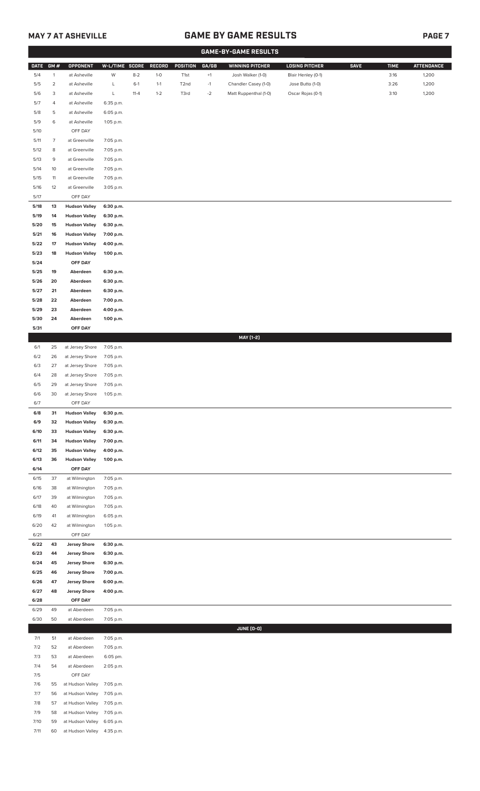# **MAY 7 AT ASHEVILLE GAME BY GAME RESULTS**

|--|--|

|             |                          |                      |                |          |         |                   |             | <b>GAME-BY-GAME RESULTS</b> |                       |             |             |                   |
|-------------|--------------------------|----------------------|----------------|----------|---------|-------------------|-------------|-----------------------------|-----------------------|-------------|-------------|-------------------|
| <b>DATE</b> | GM#                      | <b>OPPONENT</b>      | W-L/TIME SCORE |          | RECORD  | POSITION          | GA/GB       | <b>WINNING PITCHER</b>      | <b>LOSING PITCHER</b> | <b>SAVE</b> | <b>TIME</b> | <b>ATTENDANCE</b> |
| 5/4         | $\mathbf{1}$             | at Asheville         | W              | $8 - 2$  | $1-0$   | T1st              | $^{\rm +1}$ | Josh Walker (1-0)           | Blair Henley (0-1)    |             | 3:16        | 1,200             |
| 5/5         | $\overline{a}$           | at Asheville         | L              | $6-1$    | $1 - 1$ | T <sub>2</sub> nd | $-1$        | Chandler Casey (1-0)        | Jose Butto (1-0)      |             | 3:26        | 1,200             |
| 5/6         | 3                        | at Asheville         | L              | $11 - 4$ | $1 - 2$ | T3rd              | $-2$        | Matt Ruppenthal (1-0)       | Oscar Rojas (0-1)     |             | 3:10        | 1,200             |
| 5/7         | 4                        | at Asheville         | 6:35 p.m.      |          |         |                   |             |                             |                       |             |             |                   |
| 5/8         | 5                        | at Asheville         | 6:05 p.m.      |          |         |                   |             |                             |                       |             |             |                   |
| 5/9         | 6                        | at Asheville         | 1:05 p.m.      |          |         |                   |             |                             |                       |             |             |                   |
| 5/10        |                          | OFF DAY              |                |          |         |                   |             |                             |                       |             |             |                   |
| 5/11        | $\overline{\phantom{a}}$ | at Greenville        | 7:05 p.m.      |          |         |                   |             |                             |                       |             |             |                   |
| 5/12        | 8                        | at Greenville        | 7:05 p.m.      |          |         |                   |             |                             |                       |             |             |                   |
| 5/13        | 9                        | at Greenville        | 7:05 p.m.      |          |         |                   |             |                             |                       |             |             |                   |
| 5/14        | 10                       | at Greenville        | 7:05 p.m.      |          |         |                   |             |                             |                       |             |             |                   |
| 5/15        | 11                       | at Greenville        | 7:05 p.m.      |          |         |                   |             |                             |                       |             |             |                   |
| $5/16$      | 12                       | at Greenville        | 3:05 p.m.      |          |         |                   |             |                             |                       |             |             |                   |
| 5/17        |                          | OFF DAY              |                |          |         |                   |             |                             |                       |             |             |                   |
| 5/18        | 13                       | <b>Hudson Valley</b> | 6:30 p.m.      |          |         |                   |             |                             |                       |             |             |                   |
| 5/19        | 14                       | <b>Hudson Valley</b> | 6:30 p.m.      |          |         |                   |             |                             |                       |             |             |                   |
| 5/20        | 15                       | <b>Hudson Valley</b> | 6:30 p.m.      |          |         |                   |             |                             |                       |             |             |                   |
| 5/21        | 16                       | <b>Hudson Valley</b> | 7:00 p.m.      |          |         |                   |             |                             |                       |             |             |                   |
| 5/22        | 17                       | <b>Hudson Valley</b> | 4:00 p.m.      |          |         |                   |             |                             |                       |             |             |                   |
| 5/23        | 18                       | <b>Hudson Valley</b> | 1:00 p.m.      |          |         |                   |             |                             |                       |             |             |                   |
| 5/24        |                          | OFF DAY              |                |          |         |                   |             |                             |                       |             |             |                   |
| 5/25        | 19                       | Aberdeen             | 6:30 p.m.      |          |         |                   |             |                             |                       |             |             |                   |
| 5/26        | 20                       | Aberdeen             | 6:30 p.m.      |          |         |                   |             |                             |                       |             |             |                   |
| 5/27        | 21                       | Aberdeen             | 6:30 p.m.      |          |         |                   |             |                             |                       |             |             |                   |
| 5/28        | 22                       | Aberdeen             | 7:00 p.m.      |          |         |                   |             |                             |                       |             |             |                   |
| 5/29        | 23                       | Aberdeen             | 4:00 p.m.      |          |         |                   |             |                             |                       |             |             |                   |
| 5/30        | 24                       | Aberdeen             | 1:00 p.m.      |          |         |                   |             |                             |                       |             |             |                   |
| 5/31        |                          | OFF DAY              |                |          |         |                   |             |                             |                       |             |             |                   |
|             |                          |                      |                |          |         |                   |             | MAY [1-2]                   |                       |             |             |                   |
| 6/1         | 25                       | at Jersey Shore      | 7:05 p.m.      |          |         |                   |             |                             |                       |             |             |                   |
| 6/2         | 26                       | at Jersey Shore      | 7:05 p.m.      |          |         |                   |             |                             |                       |             |             |                   |
| 6/3         | 27                       | at Jersey Shore      | 7:05 p.m.      |          |         |                   |             |                             |                       |             |             |                   |
| 6/4         | 28                       | at Jersey Shore      | 7:05 p.m.      |          |         |                   |             |                             |                       |             |             |                   |
| 6/5         | 29                       | at Jersey Shore      | 7:05 p.m.      |          |         |                   |             |                             |                       |             |             |                   |
| 6/6         | 30                       | at Jersey Shore      | 1:05 p.m.      |          |         |                   |             |                             |                       |             |             |                   |
| 6/7         |                          | OFF DAY              |                |          |         |                   |             |                             |                       |             |             |                   |
| 6/8         | 31                       | <b>Hudson Valley</b> | 6:30 p.m.      |          |         |                   |             |                             |                       |             |             |                   |
| 6/9         | 32                       | <b>Hudson Valley</b> | 6:30 p.m.      |          |         |                   |             |                             |                       |             |             |                   |
| 6/10        | 33                       | <b>Hudson Valley</b> | 6:30 p.m.      |          |         |                   |             |                             |                       |             |             |                   |
| 6/11        | 34                       | <b>Hudson Valley</b> | 7:00 p.m.      |          |         |                   |             |                             |                       |             |             |                   |
| 6/12        | 35                       | <b>Hudson Valley</b> | 4:00 p.m.      |          |         |                   |             |                             |                       |             |             |                   |
| 6/13        | 36                       | <b>Hudson Valley</b> | 1:00 p.m.      |          |         |                   |             |                             |                       |             |             |                   |
| 6/14        |                          | OFF DAY              |                |          |         |                   |             |                             |                       |             |             |                   |
| 6/15        | 37                       | at Wilmington        | 7:05 p.m.      |          |         |                   |             |                             |                       |             |             |                   |
| 6/16        | 38                       | at Wilmington        | 7:05 p.m.      |          |         |                   |             |                             |                       |             |             |                   |
| 6/17        | 39                       | at Wilmington        | 7:05 p.m.      |          |         |                   |             |                             |                       |             |             |                   |
| 6/18        | 40                       | at Wilmington        | 7:05 p.m.      |          |         |                   |             |                             |                       |             |             |                   |
| 6/19        | 41                       | at Wilmington        | 6:05 p.m.      |          |         |                   |             |                             |                       |             |             |                   |
| 6/20        | 42                       | at Wilmington        | 1:05 p.m.      |          |         |                   |             |                             |                       |             |             |                   |
| 6/21        |                          | OFF DAY              |                |          |         |                   |             |                             |                       |             |             |                   |
| 6/22        | 43                       | <b>Jersey Shore</b>  | 6:30 p.m.      |          |         |                   |             |                             |                       |             |             |                   |
| 6/23        | 44                       | <b>Jersey Shore</b>  | 6:30 p.m.      |          |         |                   |             |                             |                       |             |             |                   |
| 6/24        | 45                       | <b>Jersey Shore</b>  | 6:30 p.m.      |          |         |                   |             |                             |                       |             |             |                   |
| 6/25        | 46                       | <b>Jersey Shore</b>  | 7:00 p.m.      |          |         |                   |             |                             |                       |             |             |                   |
| 6/26        | 47                       | <b>Jersey Shore</b>  | 6:00 p.m.      |          |         |                   |             |                             |                       |             |             |                   |
| 6/27        | 48                       | <b>Jersey Shore</b>  | 4:00 p.m.      |          |         |                   |             |                             |                       |             |             |                   |
| 6/28        |                          | OFF DAY              |                |          |         |                   |             |                             |                       |             |             |                   |
| 6/29        | 49                       | at Aberdeen          | 7:05 p.m.      |          |         |                   |             |                             |                       |             |             |                   |
| 6/30        | 50                       | at Aberdeen          | 7:05 p.m.      |          |         |                   |             |                             |                       |             |             |                   |
|             |                          |                      |                |          |         |                   |             | <b>JUNE (0-0)</b>           |                       |             |             |                   |
| 7/1         | 51                       | at Aberdeen          | 7:05 p.m.      |          |         |                   |             |                             |                       |             |             |                   |
| 7/2         | 52                       | at Aberdeen          | 7:05 p.m.      |          |         |                   |             |                             |                       |             |             |                   |
| 7/3         | 53                       | at Aberdeen          | 6:05 pm.       |          |         |                   |             |                             |                       |             |             |                   |
| 7/4         | 54                       | at Aberdeen          | 2:05 p.m.      |          |         |                   |             |                             |                       |             |             |                   |
| 7/5         |                          | OFF DAY              |                |          |         |                   |             |                             |                       |             |             |                   |
| 7/6         | 55                       | at Hudson Valley     | 7:05 p.m.      |          |         |                   |             |                             |                       |             |             |                   |
| 7/7         | 56                       | at Hudson Valley     | 7:05 p.m.      |          |         |                   |             |                             |                       |             |             |                   |
| 7/8         | 57                       | at Hudson Valley     | 7:05 p.m.      |          |         |                   |             |                             |                       |             |             |                   |
| 7/9         | 58                       | at Hudson Valley     | 7:05 p.m.      |          |         |                   |             |                             |                       |             |             |                   |
| 7/10        | 59                       | at Hudson Valley     | 6:05 p.m.      |          |         |                   |             |                             |                       |             |             |                   |
| 7/11        | 60                       | at Hudson Valley     | 4:35 p.m.      |          |         |                   |             |                             |                       |             |             |                   |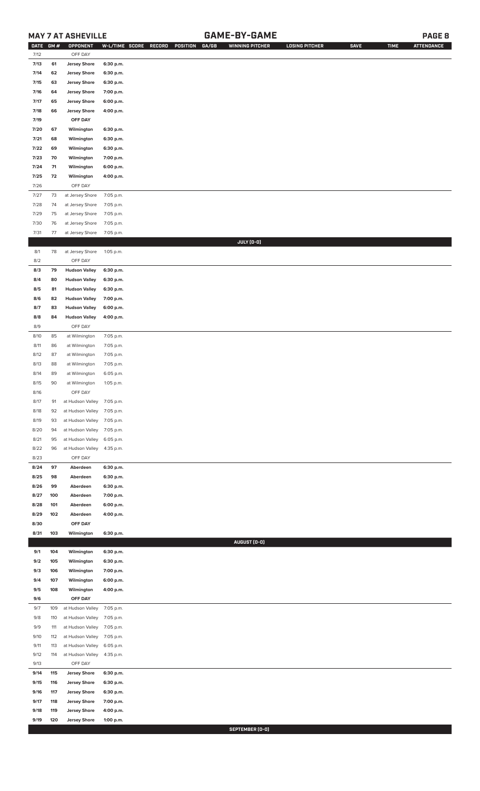## **MAY 7 AT ASHEVILLE GAME-BY-GAME PAGE 8**

| <b>DATE</b> | GM# | OPPONENT                   |           | W-L/TIME SCORE RECORD<br>POSITION<br>GA/GB | <b>WINNING PITCHER</b> | <b>LOSING PITCHER</b> | <b>SAVE</b> | <b>TIME</b> | <b>ATTENDANCE</b> |
|-------------|-----|----------------------------|-----------|--------------------------------------------|------------------------|-----------------------|-------------|-------------|-------------------|
| 7/12        |     | OFF DAY                    |           |                                            |                        |                       |             |             |                   |
| 7/13        | 61  | <b>Jersey Shore</b>        | 6:30 p.m. |                                            |                        |                       |             |             |                   |
| 7/14        | 62  | <b>Jersey Shore</b>        | 6:30 p.m. |                                            |                        |                       |             |             |                   |
| 7/15        | 63  | <b>Jersey Shore</b>        | 6:30 p.m. |                                            |                        |                       |             |             |                   |
| 7/16        | 64  | <b>Jersey Shore</b>        | 7:00 p.m. |                                            |                        |                       |             |             |                   |
|             |     |                            |           |                                            |                        |                       |             |             |                   |
| 7/17        | 65  | <b>Jersey Shore</b>        | 6:00 p.m. |                                            |                        |                       |             |             |                   |
| 7/18        | 66  | <b>Jersey Shore</b>        | 4:00 p.m. |                                            |                        |                       |             |             |                   |
| 7/19        |     | OFF DAY                    |           |                                            |                        |                       |             |             |                   |
| 7/20        | 67  | Wilmington                 | 6:30 p.m. |                                            |                        |                       |             |             |                   |
| 7/21        | 68  | Wilmington                 | 6:30 p.m. |                                            |                        |                       |             |             |                   |
| 7/22        | 69  | Wilmington                 | 6:30 p.m. |                                            |                        |                       |             |             |                   |
| 7/23        | 70  | Wilmington                 | 7:00 p.m. |                                            |                        |                       |             |             |                   |
|             |     |                            |           |                                            |                        |                       |             |             |                   |
| 7/24        | 71  | Wilmington                 | 6:00 p.m. |                                            |                        |                       |             |             |                   |
| 7/25        | 72  | Wilmington                 | 4:00 p.m. |                                            |                        |                       |             |             |                   |
| 7/26        |     | OFF DAY                    |           |                                            |                        |                       |             |             |                   |
| 7/27        | 73  | at Jersey Shore            | 7:05 p.m. |                                            |                        |                       |             |             |                   |
| 7/28        | 74  | at Jersey Shore            | 7:05 p.m. |                                            |                        |                       |             |             |                   |
| 7/29        | 75  | at Jersey Shore            | 7:05 p.m. |                                            |                        |                       |             |             |                   |
| 7/30        | 76  | at Jersey Shore            | 7:05 p.m. |                                            |                        |                       |             |             |                   |
|             |     |                            |           |                                            |                        |                       |             |             |                   |
| 7/31        | 77  | at Jersey Shore            | 7:05 p.m. |                                            |                        |                       |             |             |                   |
|             |     |                            |           |                                            | JULY (0-0)             |                       |             |             |                   |
| 8/1         | 78  | at Jersey Shore            | 1:05 p.m. |                                            |                        |                       |             |             |                   |
| 8/2         |     | OFF DAY                    |           |                                            |                        |                       |             |             |                   |
| 8/3         | 79  | <b>Hudson Valley</b>       | 6:30 p.m. |                                            |                        |                       |             |             |                   |
| 8/4         | 80  | <b>Hudson Valley</b>       | 6:30 p.m. |                                            |                        |                       |             |             |                   |
| 8/5         | 81  | <b>Hudson Valley</b>       | 6:30 p.m. |                                            |                        |                       |             |             |                   |
|             |     | <b>Hudson Valley</b>       |           |                                            |                        |                       |             |             |                   |
| 8/6         | 82  |                            | 7:00 p.m. |                                            |                        |                       |             |             |                   |
| 8/7         | 83  | <b>Hudson Valley</b>       | 6:00 p.m. |                                            |                        |                       |             |             |                   |
| 8/8         | 84  | <b>Hudson Valley</b>       | 4:00 p.m. |                                            |                        |                       |             |             |                   |
| 8/9         |     | OFF DAY                    |           |                                            |                        |                       |             |             |                   |
| 8/10        | 85  | at Wilmington              | 7:05 p.m. |                                            |                        |                       |             |             |                   |
| 8/11        | 86  | at Wilmington              | 7:05 p.m. |                                            |                        |                       |             |             |                   |
| 8/12        | 87  | at Wilmington              | 7:05 p.m. |                                            |                        |                       |             |             |                   |
| 8/13        | 88  | at Wilmington              | 7:05 p.m. |                                            |                        |                       |             |             |                   |
|             |     |                            |           |                                            |                        |                       |             |             |                   |
| 8/14        | 89  | at Wilmington              | 6:05 p.m. |                                            |                        |                       |             |             |                   |
| 8/15        | 90  | at Wilmington              | 1:05 p.m. |                                            |                        |                       |             |             |                   |
| 8/16        |     | OFF DAY                    |           |                                            |                        |                       |             |             |                   |
| 8/17        | 91  | at Hudson Valley 7:05 p.m. |           |                                            |                        |                       |             |             |                   |
| 8/18        | 92  | at Hudson Valley           | 7:05 p.m. |                                            |                        |                       |             |             |                   |
| 8/19        | 93  | at Hudson Valley           | 7:05 p.m. |                                            |                        |                       |             |             |                   |
| 8/20        | 94  | at Hudson Valley           | 7:05 p.m. |                                            |                        |                       |             |             |                   |
|             |     |                            |           |                                            |                        |                       |             |             |                   |
| 8/21        | 95  | at Hudson Valley           | 6:05 p.m. |                                            |                        |                       |             |             |                   |
| 8/22        | 96  | at Hudson Valley           | 4:35 p.m. |                                            |                        |                       |             |             |                   |
| 8/23        |     | OFF DAY                    |           |                                            |                        |                       |             |             |                   |
| 8/24        | 97  | Aberdeen                   | 6:30 p.m. |                                            |                        |                       |             |             |                   |
| 8/25        | 98  | Aberdeen                   | 6:30 p.m. |                                            |                        |                       |             |             |                   |
| 8/26        | 99  | Aberdeen                   | 6:30 p.m. |                                            |                        |                       |             |             |                   |
| 8/27        | 100 | Aberdeen                   | 7:00 p.m. |                                            |                        |                       |             |             |                   |
|             |     |                            |           |                                            |                        |                       |             |             |                   |
| 8/28        | 101 | Aberdeen                   | 6:00 p.m. |                                            |                        |                       |             |             |                   |
| 8/29        | 102 | Aberdeen                   | 4:00 p.m. |                                            |                        |                       |             |             |                   |
| 8/30        |     | OFF DAY                    |           |                                            |                        |                       |             |             |                   |
| 8/31        | 103 | Wilmington                 | 6:30 p.m. |                                            |                        |                       |             |             |                   |
|             |     |                            |           |                                            | AUGUST (0-0)           |                       |             |             |                   |
| 9/1         | 104 | Wilmington                 | 6:30 p.m. |                                            |                        |                       |             |             |                   |
| 9/2         | 105 | Wilmington                 | 6:30 p.m. |                                            |                        |                       |             |             |                   |
| 9/3         | 106 | Wilmington                 | 7:00 p.m. |                                            |                        |                       |             |             |                   |
| 9/4         | 107 | Wilmington                 | 6:00 p.m. |                                            |                        |                       |             |             |                   |
|             |     |                            |           |                                            |                        |                       |             |             |                   |
| 9/5         | 108 | Wilmington                 | 4:00 p.m. |                                            |                        |                       |             |             |                   |
| 9/6         |     | OFF DAY                    |           |                                            |                        |                       |             |             |                   |
| 9/7         | 109 | at Hudson Valley           | 7:05 p.m. |                                            |                        |                       |             |             |                   |
| 9/8         | 110 | at Hudson Valley           | 7:05 p.m. |                                            |                        |                       |             |             |                   |
| 9/9         | 111 | at Hudson Valley           | 7:05 p.m. |                                            |                        |                       |             |             |                   |
| 9/10        | 112 | at Hudson Valley           | 7:05 p.m. |                                            |                        |                       |             |             |                   |
| 9/11        | 113 | at Hudson Valley           | 6:05 p.m. |                                            |                        |                       |             |             |                   |
|             |     |                            |           |                                            |                        |                       |             |             |                   |
| 9/12        | 114 | at Hudson Valley           | 4:35 p.m. |                                            |                        |                       |             |             |                   |
| 9/13        |     | OFF DAY                    |           |                                            |                        |                       |             |             |                   |
| 9/14        | 115 | <b>Jersey Shore</b>        | 6:30 p.m. |                                            |                        |                       |             |             |                   |
| 9/15        | 116 | <b>Jersey Shore</b>        | 6:30 p.m. |                                            |                        |                       |             |             |                   |
| 9/16        | 117 | <b>Jersey Shore</b>        | 6:30 p.m. |                                            |                        |                       |             |             |                   |
| 9/17        | 118 | <b>Jersey Shore</b>        | 7:00 p.m. |                                            |                        |                       |             |             |                   |
| 9/18        | 119 | <b>Jersey Shore</b>        | 4:00 p.m. |                                            |                        |                       |             |             |                   |
| 9/19        | 120 | <b>Jersey Shore</b>        | 1:00 p.m. |                                            |                        |                       |             |             |                   |

**SEPTEMBER (0-0)**